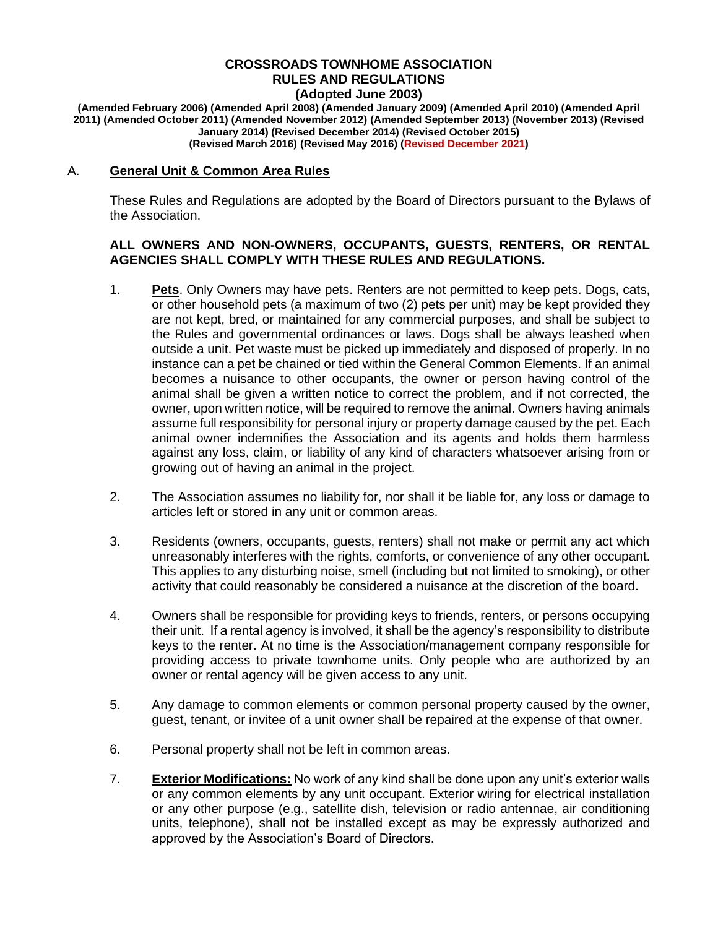#### **CROSSROADS TOWNHOME ASSOCIATION RULES AND REGULATIONS (Adopted June 2003)**

**(Amended February 2006) (Amended April 2008) (Amended January 2009) (Amended April 2010) (Amended April 2011) (Amended October 2011) (Amended November 2012) (Amended September 2013) (November 2013) (Revised January 2014) (Revised December 2014) (Revised October 2015) (Revised March 2016) (Revised May 2016) (Revised December 2021)**

### A. **General Unit & Common Area Rules**

These Rules and Regulations are adopted by the Board of Directors pursuant to the Bylaws of the Association.

### **ALL OWNERS AND NON-OWNERS, OCCUPANTS, GUESTS, RENTERS, OR RENTAL AGENCIES SHALL COMPLY WITH THESE RULES AND REGULATIONS.**

- 1. **Pets**. Only Owners may have pets. Renters are not permitted to keep pets. Dogs, cats, or other household pets (a maximum of two (2) pets per unit) may be kept provided they are not kept, bred, or maintained for any commercial purposes, and shall be subject to the Rules and governmental ordinances or laws. Dogs shall be always leashed when outside a unit. Pet waste must be picked up immediately and disposed of properly. In no instance can a pet be chained or tied within the General Common Elements. If an animal becomes a nuisance to other occupants, the owner or person having control of the animal shall be given a written notice to correct the problem, and if not corrected, the owner, upon written notice, will be required to remove the animal. Owners having animals assume full responsibility for personal injury or property damage caused by the pet. Each animal owner indemnifies the Association and its agents and holds them harmless against any loss, claim, or liability of any kind of characters whatsoever arising from or growing out of having an animal in the project.
- 2. The Association assumes no liability for, nor shall it be liable for, any loss or damage to articles left or stored in any unit or common areas.
- 3. Residents (owners, occupants, guests, renters) shall not make or permit any act which unreasonably interferes with the rights, comforts, or convenience of any other occupant. This applies to any disturbing noise, smell (including but not limited to smoking), or other activity that could reasonably be considered a nuisance at the discretion of the board.
- 4. Owners shall be responsible for providing keys to friends, renters, or persons occupying their unit. If a rental agency is involved, it shall be the agency's responsibility to distribute keys to the renter. At no time is the Association/management company responsible for providing access to private townhome units. Only people who are authorized by an owner or rental agency will be given access to any unit.
- 5. Any damage to common elements or common personal property caused by the owner, guest, tenant, or invitee of a unit owner shall be repaired at the expense of that owner.
- 6. Personal property shall not be left in common areas.
- 7. **Exterior Modifications:** No work of any kind shall be done upon any unit's exterior walls or any common elements by any unit occupant. Exterior wiring for electrical installation or any other purpose (e.g., satellite dish, television or radio antennae, air conditioning units, telephone), shall not be installed except as may be expressly authorized and approved by the Association's Board of Directors.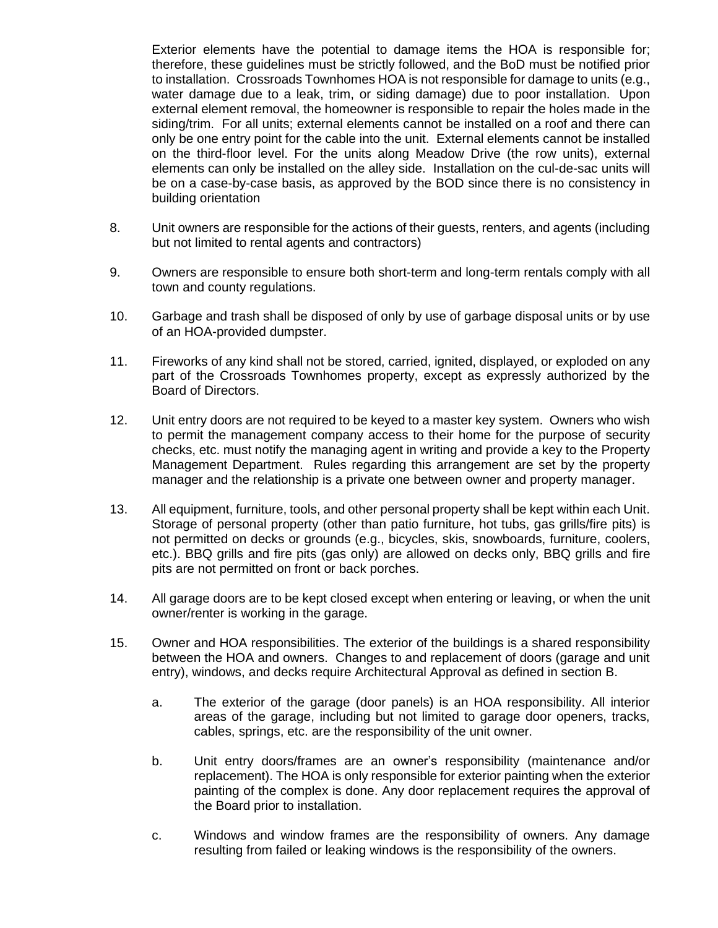Exterior elements have the potential to damage items the HOA is responsible for; therefore, these guidelines must be strictly followed, and the BoD must be notified prior to installation. Crossroads Townhomes HOA is not responsible for damage to units (e.g., water damage due to a leak, trim, or siding damage) due to poor installation. Upon external element removal, the homeowner is responsible to repair the holes made in the siding/trim. For all units; external elements cannot be installed on a roof and there can only be one entry point for the cable into the unit. External elements cannot be installed on the third-floor level. For the units along Meadow Drive (the row units), external elements can only be installed on the alley side. Installation on the cul-de-sac units will be on a case-by-case basis, as approved by the BOD since there is no consistency in building orientation

- 8. Unit owners are responsible for the actions of their guests, renters, and agents (including but not limited to rental agents and contractors)
- 9. Owners are responsible to ensure both short-term and long-term rentals comply with all town and county regulations.
- 10. Garbage and trash shall be disposed of only by use of garbage disposal units or by use of an HOA-provided dumpster.
- 11. Fireworks of any kind shall not be stored, carried, ignited, displayed, or exploded on any part of the Crossroads Townhomes property, except as expressly authorized by the Board of Directors.
- 12. Unit entry doors are not required to be keyed to a master key system. Owners who wish to permit the management company access to their home for the purpose of security checks, etc. must notify the managing agent in writing and provide a key to the Property Management Department. Rules regarding this arrangement are set by the property manager and the relationship is a private one between owner and property manager.
- 13. All equipment, furniture, tools, and other personal property shall be kept within each Unit. Storage of personal property (other than patio furniture, hot tubs, gas grills/fire pits) is not permitted on decks or grounds (e.g., bicycles, skis, snowboards, furniture, coolers, etc.). BBQ grills and fire pits (gas only) are allowed on decks only, BBQ grills and fire pits are not permitted on front or back porches.
- 14. All garage doors are to be kept closed except when entering or leaving, or when the unit owner/renter is working in the garage.
- 15. Owner and HOA responsibilities. The exterior of the buildings is a shared responsibility between the HOA and owners. Changes to and replacement of doors (garage and unit entry), windows, and decks require Architectural Approval as defined in section B.
	- a. The exterior of the garage (door panels) is an HOA responsibility. All interior areas of the garage, including but not limited to garage door openers, tracks, cables, springs, etc. are the responsibility of the unit owner.
	- b. Unit entry doors/frames are an owner's responsibility (maintenance and/or replacement). The HOA is only responsible for exterior painting when the exterior painting of the complex is done. Any door replacement requires the approval of the Board prior to installation.
	- c. Windows and window frames are the responsibility of owners. Any damage resulting from failed or leaking windows is the responsibility of the owners.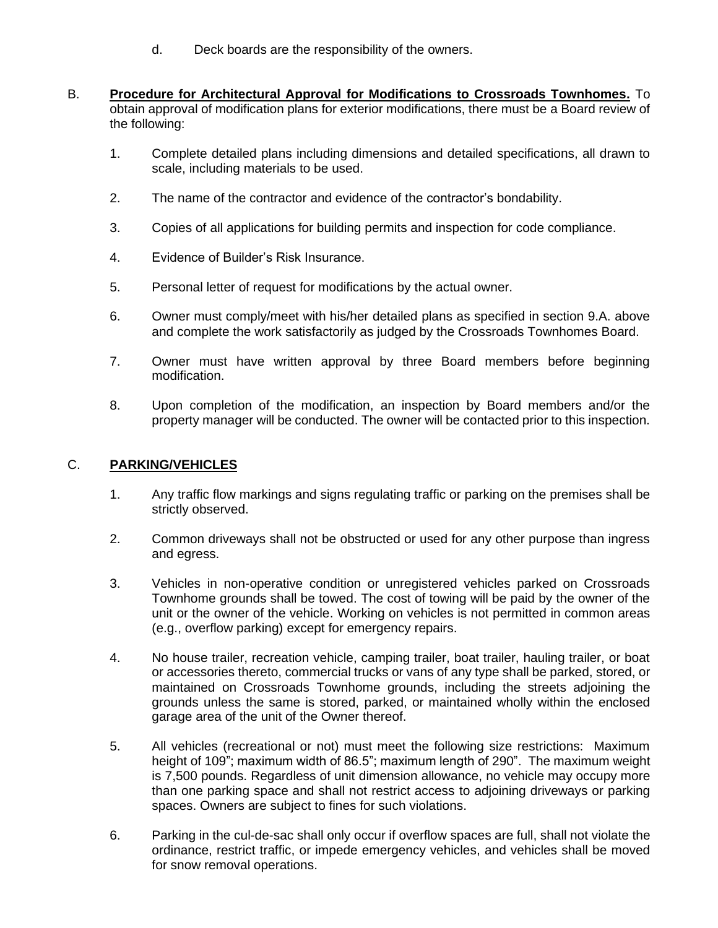- d. Deck boards are the responsibility of the owners.
- B. **Procedure for Architectural Approval for Modifications to Crossroads Townhomes.** To obtain approval of modification plans for exterior modifications, there must be a Board review of the following:
	- 1. Complete detailed plans including dimensions and detailed specifications, all drawn to scale, including materials to be used.
	- 2. The name of the contractor and evidence of the contractor's bondability.
	- 3. Copies of all applications for building permits and inspection for code compliance.
	- 4. Evidence of Builder's Risk Insurance.
	- 5. Personal letter of request for modifications by the actual owner.
	- 6. Owner must comply/meet with his/her detailed plans as specified in section 9.A. above and complete the work satisfactorily as judged by the Crossroads Townhomes Board.
	- 7. Owner must have written approval by three Board members before beginning modification.
	- 8. Upon completion of the modification, an inspection by Board members and/or the property manager will be conducted. The owner will be contacted prior to this inspection.

# C. **PARKING/VEHICLES**

- 1. Any traffic flow markings and signs regulating traffic or parking on the premises shall be strictly observed.
- 2. Common driveways shall not be obstructed or used for any other purpose than ingress and egress.
- 3. Vehicles in non-operative condition or unregistered vehicles parked on Crossroads Townhome grounds shall be towed. The cost of towing will be paid by the owner of the unit or the owner of the vehicle. Working on vehicles is not permitted in common areas (e.g., overflow parking) except for emergency repairs.
- 4. No house trailer, recreation vehicle, camping trailer, boat trailer, hauling trailer, or boat or accessories thereto, commercial trucks or vans of any type shall be parked, stored, or maintained on Crossroads Townhome grounds, including the streets adjoining the grounds unless the same is stored, parked, or maintained wholly within the enclosed garage area of the unit of the Owner thereof.
- 5. All vehicles (recreational or not) must meet the following size restrictions: Maximum height of 109"; maximum width of 86.5"; maximum length of 290". The maximum weight is 7,500 pounds. Regardless of unit dimension allowance, no vehicle may occupy more than one parking space and shall not restrict access to adjoining driveways or parking spaces. Owners are subject to fines for such violations.
- 6. Parking in the cul-de-sac shall only occur if overflow spaces are full, shall not violate the ordinance, restrict traffic, or impede emergency vehicles, and vehicles shall be moved for snow removal operations.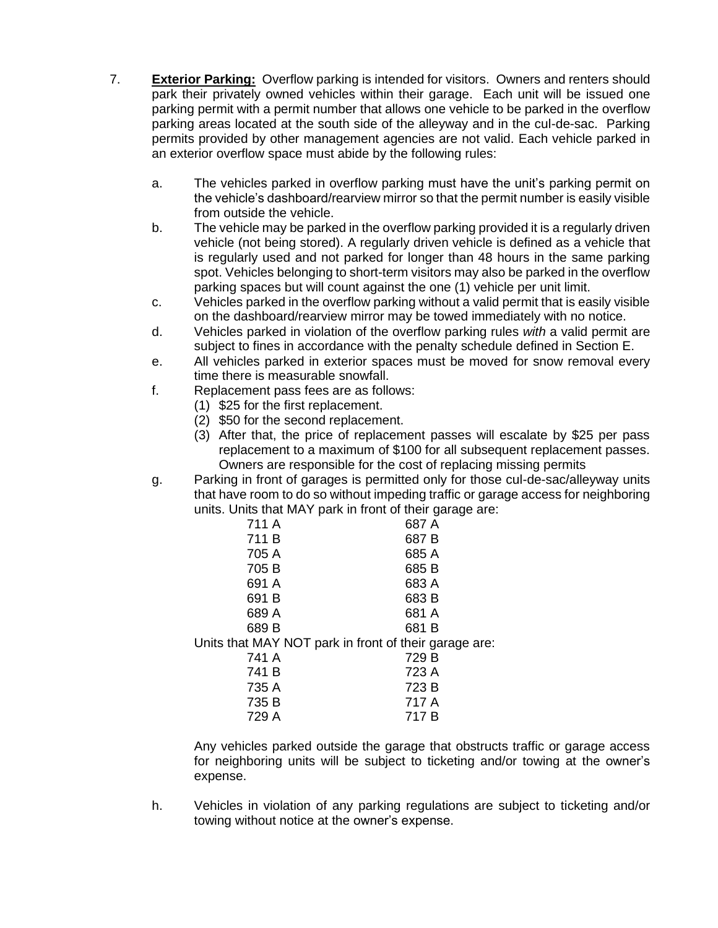- 7. **Exterior Parking:** Overflow parking is intended for visitors. Owners and renters should park their privately owned vehicles within their garage. Each unit will be issued one parking permit with a permit number that allows one vehicle to be parked in the overflow parking areas located at the south side of the alleyway and in the cul-de-sac. Parking permits provided by other management agencies are not valid. Each vehicle parked in an exterior overflow space must abide by the following rules:
	- a. The vehicles parked in overflow parking must have the unit's parking permit on the vehicle's dashboard/rearview mirror so that the permit number is easily visible from outside the vehicle.
	- b. The vehicle may be parked in the overflow parking provided it is a regularly driven vehicle (not being stored). A regularly driven vehicle is defined as a vehicle that is regularly used and not parked for longer than 48 hours in the same parking spot. Vehicles belonging to short-term visitors may also be parked in the overflow parking spaces but will count against the one (1) vehicle per unit limit.
	- c. Vehicles parked in the overflow parking without a valid permit that is easily visible on the dashboard/rearview mirror may be towed immediately with no notice.
	- d. Vehicles parked in violation of the overflow parking rules *with* a valid permit are subject to fines in accordance with the penalty schedule defined in Section E.
	- e. All vehicles parked in exterior spaces must be moved for snow removal every time there is measurable snowfall.
	- f. Replacement pass fees are as follows:
		- (1) \$25 for the first replacement.
		- (2) \$50 for the second replacement.
		- (3) After that, the price of replacement passes will escalate by \$25 per pass replacement to a maximum of \$100 for all subsequent replacement passes. Owners are responsible for the cost of replacing missing permits
	- g. Parking in front of garages is permitted only for those cul-de-sac/alleyway units that have room to do so without impeding traffic or garage access for neighboring units. Units that MAY park in front of their garage are:

| 711 A | 687 A                                                 |
|-------|-------------------------------------------------------|
| 711 B | 687B                                                  |
| 705 A | 685 A                                                 |
| 705 B | 685 B                                                 |
| 691 A | 683 A                                                 |
| 691 B | 683 B                                                 |
| 689 A | 681 A                                                 |
| 689 B | 681 B                                                 |
|       | Units that MAY NOT park in front of their garage are: |
| 741 A | 729 B                                                 |
| 741 B | 723 A                                                 |
| 735 A | 723 B                                                 |
| 735 B | 717 A                                                 |
| 729 A | 717 B                                                 |

Any vehicles parked outside the garage that obstructs traffic or garage access for neighboring units will be subject to ticketing and/or towing at the owner's expense.

h. Vehicles in violation of any parking regulations are subject to ticketing and/or towing without notice at the owner's expense.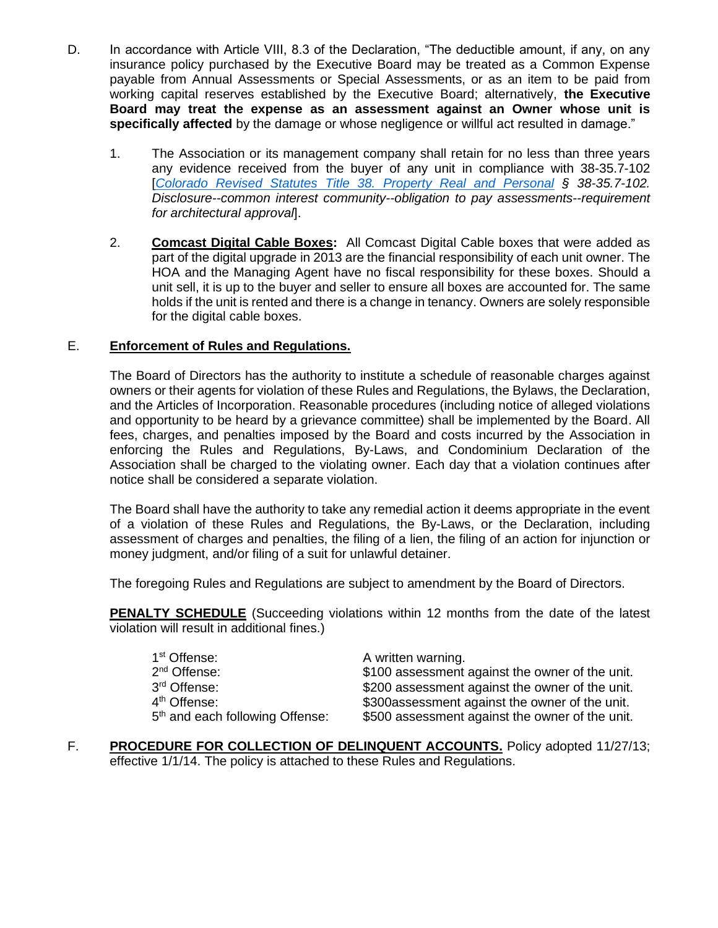- D. In accordance with Article VIII, 8.3 of the Declaration, "The deductible amount, if any, on any insurance policy purchased by the Executive Board may be treated as a Common Expense payable from Annual Assessments or Special Assessments, or as an item to be paid from working capital reserves established by the Executive Board; alternatively, **the Executive Board may treat the expense as an assessment against an Owner whose unit is specifically affected** by the damage or whose negligence or willful act resulted in damage."
	- 1. The Association or its management company shall retain for no less than three years any evidence received from the buyer of any unit in compliance with 38-35.7-102 [*[Colorado Revised Statutes Title 38. Property Real and Personal](https://codes.findlaw.com/co/title-38-property-real-and-personal/co-rev-st-sect-38-35-7-102.html) § 38-35.7-102. Disclosure--common interest community--obligation to pay assessments--requirement for architectural approval*].
	- 2. **Comcast Digital Cable Boxes:** All Comcast Digital Cable boxes that were added as part of the digital upgrade in 2013 are the financial responsibility of each unit owner. The HOA and the Managing Agent have no fiscal responsibility for these boxes. Should a unit sell, it is up to the buyer and seller to ensure all boxes are accounted for. The same holds if the unit is rented and there is a change in tenancy. Owners are solely responsible for the digital cable boxes.

## E. **Enforcement of Rules and Regulations.**

The Board of Directors has the authority to institute a schedule of reasonable charges against owners or their agents for violation of these Rules and Regulations, the Bylaws, the Declaration, and the Articles of Incorporation. Reasonable procedures (including notice of alleged violations and opportunity to be heard by a grievance committee) shall be implemented by the Board. All fees, charges, and penalties imposed by the Board and costs incurred by the Association in enforcing the Rules and Regulations, By-Laws, and Condominium Declaration of the Association shall be charged to the violating owner. Each day that a violation continues after notice shall be considered a separate violation.

The Board shall have the authority to take any remedial action it deems appropriate in the event of a violation of these Rules and Regulations, the By-Laws, or the Declaration, including assessment of charges and penalties, the filing of a lien, the filing of an action for injunction or money judgment, and/or filing of a suit for unlawful detainer.

The foregoing Rules and Regulations are subject to amendment by the Board of Directors.

**PENALTY SCHEDULE** (Succeeding violations within 12 months from the date of the latest violation will result in additional fines.)

| 1 <sup>st</sup> Offense:<br>2 <sup>nd</sup> Offense:<br>3 <sup>rd</sup> Offense: | A written warning.<br>\$100 assessment against the owner of the unit.<br>\$200 assessment against the owner of the unit. |
|----------------------------------------------------------------------------------|--------------------------------------------------------------------------------------------------------------------------|
| 4 <sup>th</sup> Offense:                                                         | \$300assessment against the owner of the unit.                                                                           |
| 5 <sup>th</sup> and each following Offense:                                      | \$500 assessment against the owner of the unit.                                                                          |

F. **PROCEDURE FOR COLLECTION OF DELINQUENT ACCOUNTS.** Policy adopted 11/27/13; effective 1/1/14. The policy is attached to these Rules and Regulations.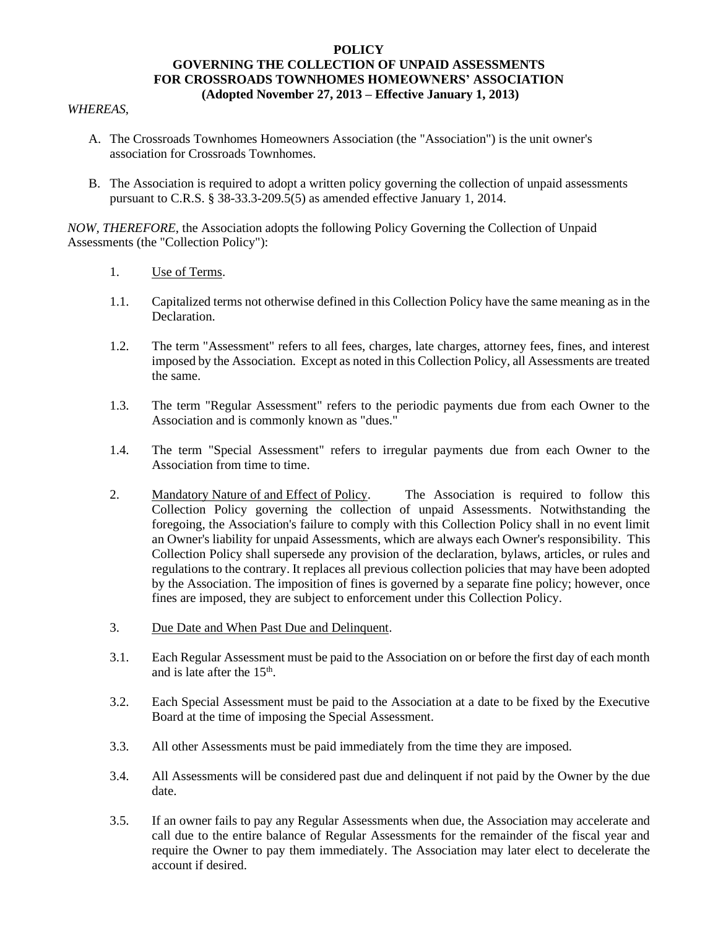#### **POLICY GOVERNING THE COLLECTION OF UNPAID ASSESSMENTS FOR CROSSROADS TOWNHOMES HOMEOWNERS' ASSOCIATION (Adopted November 27, 2013 – Effective January 1, 2013)**

#### *WHEREAS*,

- A. The Crossroads Townhomes Homeowners Association (the "Association") is the unit owner's association for Crossroads Townhomes.
- B. The Association is required to adopt a written policy governing the collection of unpaid assessments pursuant to C.R.S. § 38-33.3-209.5(5) as amended effective January 1, 2014.

*NOW, THEREFORE*, the Association adopts the following Policy Governing the Collection of Unpaid Assessments (the "Collection Policy"):

- 1. Use of Terms.
- 1.1. Capitalized terms not otherwise defined in this Collection Policy have the same meaning as in the Declaration.
- 1.2. The term "Assessment" refers to all fees, charges, late charges, attorney fees, fines, and interest imposed by the Association. Except as noted in this Collection Policy, all Assessments are treated the same.
- 1.3. The term "Regular Assessment" refers to the periodic payments due from each Owner to the Association and is commonly known as "dues."
- 1.4. The term "Special Assessment" refers to irregular payments due from each Owner to the Association from time to time.
- 2. Mandatory Nature of and Effect of Policy. The Association is required to follow this Collection Policy governing the collection of unpaid Assessments. Notwithstanding the foregoing, the Association's failure to comply with this Collection Policy shall in no event limit an Owner's liability for unpaid Assessments, which are always each Owner's responsibility. This Collection Policy shall supersede any provision of the declaration, bylaws, articles, or rules and regulations to the contrary. It replaces all previous collection policies that may have been adopted by the Association. The imposition of fines is governed by a separate fine policy; however, once fines are imposed, they are subject to enforcement under this Collection Policy.
- 3. Due Date and When Past Due and Delinquent.
- 3.1. Each Regular Assessment must be paid to the Association on or before the first day of each month and is late after the 15<sup>th</sup>.
- 3.2. Each Special Assessment must be paid to the Association at a date to be fixed by the Executive Board at the time of imposing the Special Assessment.
- 3.3. All other Assessments must be paid immediately from the time they are imposed.
- 3.4. All Assessments will be considered past due and delinquent if not paid by the Owner by the due date.
- 3.5. If an owner fails to pay any Regular Assessments when due, the Association may accelerate and call due to the entire balance of Regular Assessments for the remainder of the fiscal year and require the Owner to pay them immediately. The Association may later elect to decelerate the account if desired.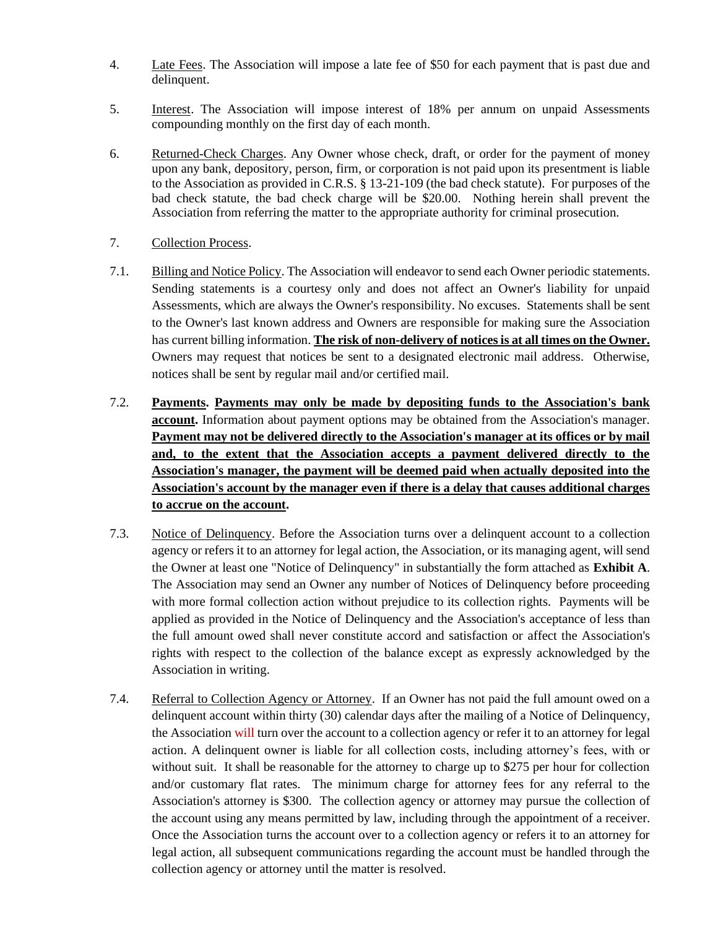- 4. Late Fees. The Association will impose a late fee of \$50 for each payment that is past due and delinquent.
- 5. Interest. The Association will impose interest of 18% per annum on unpaid Assessments compounding monthly on the first day of each month.
- 6. Returned-Check Charges. Any Owner whose check, draft, or order for the payment of money upon any bank, depository, person, firm, or corporation is not paid upon its presentment is liable to the Association as provided in C.R.S. § 13-21-109 (the bad check statute). For purposes of the bad check statute, the bad check charge will be \$20.00. Nothing herein shall prevent the Association from referring the matter to the appropriate authority for criminal prosecution.
- 7. Collection Process.
- 7.1. Billing and Notice Policy. The Association will endeavor to send each Owner periodic statements. Sending statements is a courtesy only and does not affect an Owner's liability for unpaid Assessments, which are always the Owner's responsibility. No excuses. Statements shall be sent to the Owner's last known address and Owners are responsible for making sure the Association has current billing information. **The risk of non-delivery of notices is at all times on the Owner.** Owners may request that notices be sent to a designated electronic mail address. Otherwise, notices shall be sent by regular mail and/or certified mail.
- 7.2. **Payments. Payments may only be made by depositing funds to the Association's bank account.** Information about payment options may be obtained from the Association's manager. **Payment may not be delivered directly to the Association's manager at its offices or by mail and, to the extent that the Association accepts a payment delivered directly to the Association's manager, the payment will be deemed paid when actually deposited into the Association's account by the manager even if there is a delay that causes additional charges to accrue on the account.**
- 7.3. Notice of Delinquency. Before the Association turns over a delinquent account to a collection agency or refers it to an attorney for legal action, the Association, or its managing agent, will send the Owner at least one "Notice of Delinquency" in substantially the form attached as **Exhibit A**. The Association may send an Owner any number of Notices of Delinquency before proceeding with more formal collection action without prejudice to its collection rights. Payments will be applied as provided in the Notice of Delinquency and the Association's acceptance of less than the full amount owed shall never constitute accord and satisfaction or affect the Association's rights with respect to the collection of the balance except as expressly acknowledged by the Association in writing.
- 7.4. Referral to Collection Agency or Attorney. If an Owner has not paid the full amount owed on a delinquent account within thirty (30) calendar days after the mailing of a Notice of Delinquency, the Association will turn over the account to a collection agency or refer it to an attorney for legal action. A delinquent owner is liable for all collection costs, including attorney's fees, with or without suit. It shall be reasonable for the attorney to charge up to \$275 per hour for collection and/or customary flat rates. The minimum charge for attorney fees for any referral to the Association's attorney is \$300. The collection agency or attorney may pursue the collection of the account using any means permitted by law, including through the appointment of a receiver. Once the Association turns the account over to a collection agency or refers it to an attorney for legal action, all subsequent communications regarding the account must be handled through the collection agency or attorney until the matter is resolved.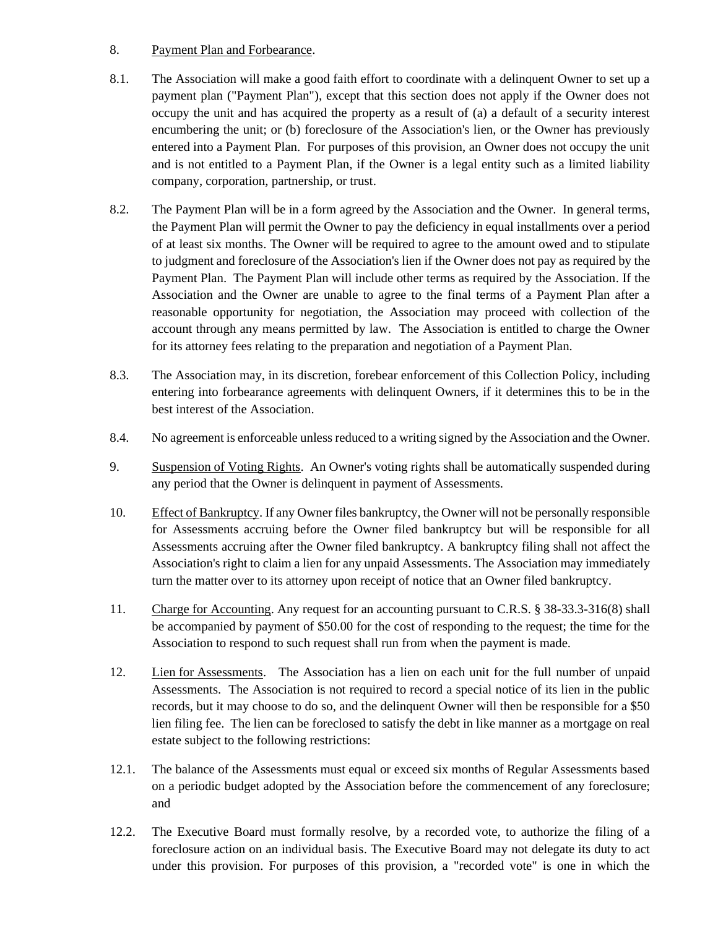### 8. Payment Plan and Forbearance.

- 8.1. The Association will make a good faith effort to coordinate with a delinquent Owner to set up a payment plan ("Payment Plan"), except that this section does not apply if the Owner does not occupy the unit and has acquired the property as a result of (a) a default of a security interest encumbering the unit; or (b) foreclosure of the Association's lien, or the Owner has previously entered into a Payment Plan. For purposes of this provision, an Owner does not occupy the unit and is not entitled to a Payment Plan, if the Owner is a legal entity such as a limited liability company, corporation, partnership, or trust.
- 8.2. The Payment Plan will be in a form agreed by the Association and the Owner. In general terms, the Payment Plan will permit the Owner to pay the deficiency in equal installments over a period of at least six months. The Owner will be required to agree to the amount owed and to stipulate to judgment and foreclosure of the Association's lien if the Owner does not pay as required by the Payment Plan. The Payment Plan will include other terms as required by the Association. If the Association and the Owner are unable to agree to the final terms of a Payment Plan after a reasonable opportunity for negotiation, the Association may proceed with collection of the account through any means permitted by law. The Association is entitled to charge the Owner for its attorney fees relating to the preparation and negotiation of a Payment Plan.
- 8.3. The Association may, in its discretion, forebear enforcement of this Collection Policy, including entering into forbearance agreements with delinquent Owners, if it determines this to be in the best interest of the Association.
- 8.4. No agreement is enforceable unless reduced to a writing signed by the Association and the Owner.
- 9. Suspension of Voting Rights. An Owner's voting rights shall be automatically suspended during any period that the Owner is delinquent in payment of Assessments.
- 10. Effect of Bankruptcy. If any Owner files bankruptcy, the Owner will not be personally responsible for Assessments accruing before the Owner filed bankruptcy but will be responsible for all Assessments accruing after the Owner filed bankruptcy. A bankruptcy filing shall not affect the Association's right to claim a lien for any unpaid Assessments. The Association may immediately turn the matter over to its attorney upon receipt of notice that an Owner filed bankruptcy.
- 11. Charge for Accounting. Any request for an accounting pursuant to C.R.S. § 38-33.3-316(8) shall be accompanied by payment of \$50.00 for the cost of responding to the request; the time for the Association to respond to such request shall run from when the payment is made.
- 12. Lien for Assessments. The Association has a lien on each unit for the full number of unpaid Assessments. The Association is not required to record a special notice of its lien in the public records, but it may choose to do so, and the delinquent Owner will then be responsible for a \$50 lien filing fee. The lien can be foreclosed to satisfy the debt in like manner as a mortgage on real estate subject to the following restrictions:
- 12.1. The balance of the Assessments must equal or exceed six months of Regular Assessments based on a periodic budget adopted by the Association before the commencement of any foreclosure; and
- 12.2. The Executive Board must formally resolve, by a recorded vote, to authorize the filing of a foreclosure action on an individual basis. The Executive Board may not delegate its duty to act under this provision. For purposes of this provision, a "recorded vote" is one in which the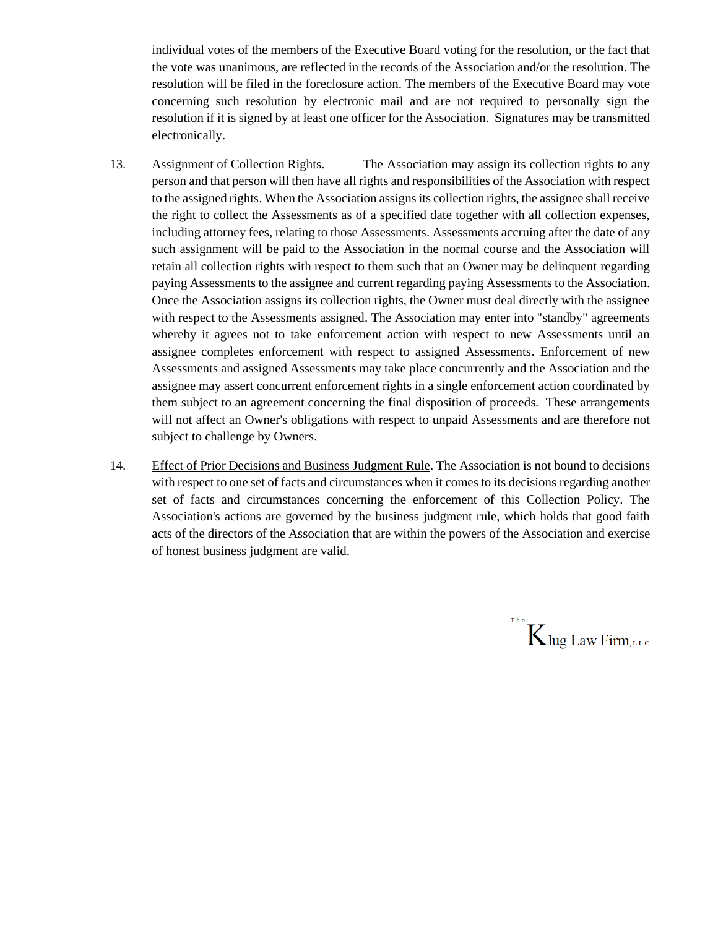individual votes of the members of the Executive Board voting for the resolution, or the fact that the vote was unanimous, are reflected in the records of the Association and/or the resolution. The resolution will be filed in the foreclosure action. The members of the Executive Board may vote concerning such resolution by electronic mail and are not required to personally sign the resolution if it is signed by at least one officer for the Association. Signatures may be transmitted electronically.

- 13. Assignment of Collection Rights. The Association may assign its collection rights to any person and that person will then have all rights and responsibilities of the Association with respect to the assigned rights. When the Association assigns its collection rights, the assignee shall receive the right to collect the Assessments as of a specified date together with all collection expenses, including attorney fees, relating to those Assessments. Assessments accruing after the date of any such assignment will be paid to the Association in the normal course and the Association will retain all collection rights with respect to them such that an Owner may be delinquent regarding paying Assessments to the assignee and current regarding paying Assessments to the Association. Once the Association assigns its collection rights, the Owner must deal directly with the assignee with respect to the Assessments assigned. The Association may enter into "standby" agreements whereby it agrees not to take enforcement action with respect to new Assessments until an assignee completes enforcement with respect to assigned Assessments. Enforcement of new Assessments and assigned Assessments may take place concurrently and the Association and the assignee may assert concurrent enforcement rights in a single enforcement action coordinated by them subject to an agreement concerning the final disposition of proceeds. These arrangements will not affect an Owner's obligations with respect to unpaid Assessments and are therefore not subject to challenge by Owners.
- 14. Effect of Prior Decisions and Business Judgment Rule. The Association is not bound to decisions with respect to one set of facts and circumstances when it comes to its decisions regarding another set of facts and circumstances concerning the enforcement of this Collection Policy. The Association's actions are governed by the business judgment rule, which holds that good faith acts of the directors of the Association that are within the powers of the Association and exercise of honest business judgment are valid.

 $K$ lug Law Firm, LLC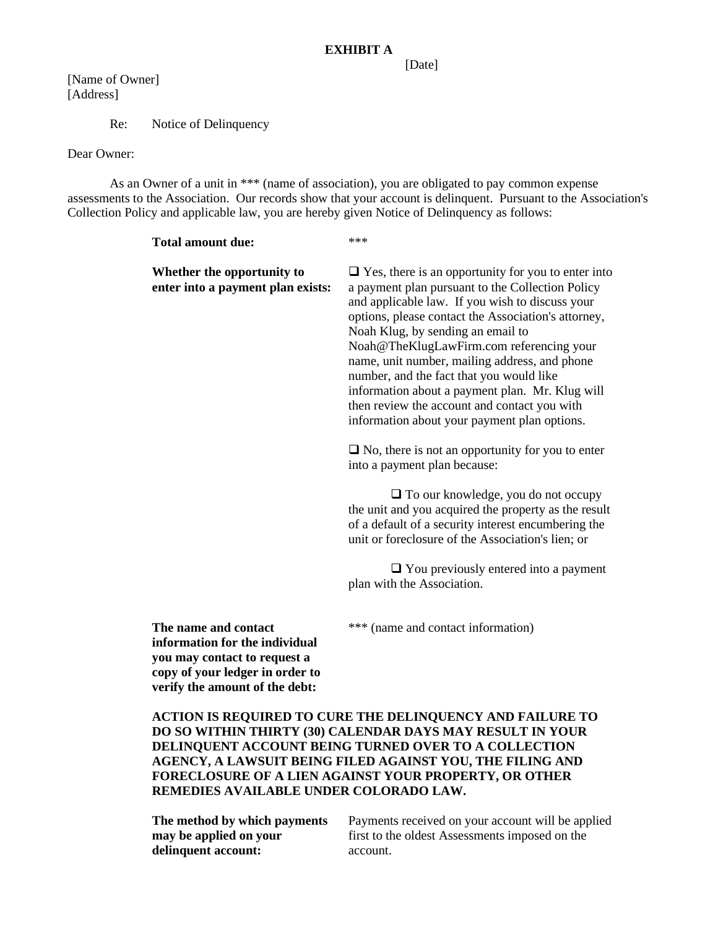[Date]

[Name of Owner] [Address]

Re: Notice of Delinquency

Dear Owner:

As an Owner of a unit in \*\*\* (name of association), you are obligated to pay common expense assessments to the Association. Our records show that your account is delinquent. Pursuant to the Association's Collection Policy and applicable law, you are hereby given Notice of Delinquency as follows:

| <b>Total amount due:</b>                                                                                                  | ***                                                                                                                                                                                                                                                                                                                                                                                                                                                                                                                                                      |
|---------------------------------------------------------------------------------------------------------------------------|----------------------------------------------------------------------------------------------------------------------------------------------------------------------------------------------------------------------------------------------------------------------------------------------------------------------------------------------------------------------------------------------------------------------------------------------------------------------------------------------------------------------------------------------------------|
| Whether the opportunity to<br>enter into a payment plan exists:                                                           | $\Box$ Yes, there is an opportunity for you to enter into<br>a payment plan pursuant to the Collection Policy<br>and applicable law. If you wish to discuss your<br>options, please contact the Association's attorney,<br>Noah Klug, by sending an email to<br>Noah@TheKlugLawFirm.com referencing your<br>name, unit number, mailing address, and phone<br>number, and the fact that you would like<br>information about a payment plan. Mr. Klug will<br>then review the account and contact you with<br>information about your payment plan options. |
|                                                                                                                           | $\Box$ No, there is not an opportunity for you to enter<br>into a payment plan because:                                                                                                                                                                                                                                                                                                                                                                                                                                                                  |
|                                                                                                                           | $\Box$ To our knowledge, you do not occupy<br>the unit and you acquired the property as the result<br>of a default of a security interest encumbering the<br>unit or foreclosure of the Association's lien; or                                                                                                                                                                                                                                                                                                                                           |
|                                                                                                                           | $\Box$ You previously entered into a payment<br>plan with the Association.                                                                                                                                                                                                                                                                                                                                                                                                                                                                               |
| The name and contact<br>information for the individual<br>you may contact to request a<br>copy of your ledger in order to | *** (name and contact information)                                                                                                                                                                                                                                                                                                                                                                                                                                                                                                                       |

**ACTION IS REQUIRED TO CURE THE DELINQUENCY AND FAILURE TO DO SO WITHIN THIRTY (30) CALENDAR DAYS MAY RESULT IN YOUR DELINQUENT ACCOUNT BEING TURNED OVER TO A COLLECTION AGENCY, A LAWSUIT BEING FILED AGAINST YOU, THE FILING AND FORECLOSURE OF A LIEN AGAINST YOUR PROPERTY, OR OTHER REMEDIES AVAILABLE UNDER COLORADO LAW.**

**The method by which payments may be applied on your delinquent account:** 

**verify the amount of the debt:**

Payments received on your account will be applied first to the oldest Assessments imposed on the account.